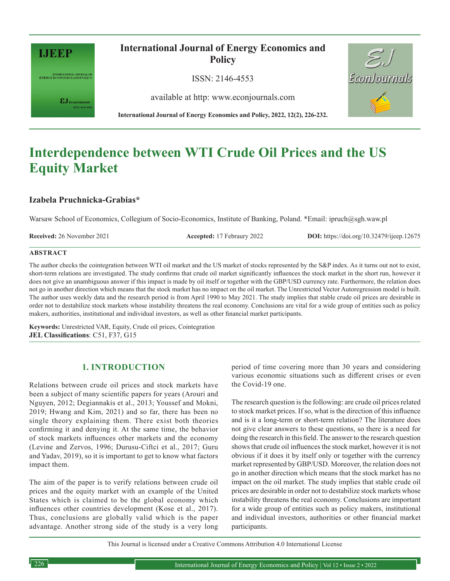

INTERNATIONAL JOURNAL OF<br>ENERGY ECONOMICS AND POLICY

 $\pmb{\varepsilon} \mathbf{J}_{\text{\tiny{EconJournals}}}$ 

**International Journal of Energy Economics and Policy**

ISSN: 2146-4553

available at http: www.econjournals.com



# **Interdependence between WTI Crude Oil Prices and the US Equity Market**

## **Izabela Pruchnicka-Grabias\***

Warsaw School of Economics, Collegium of Socio-Economics, Institute of Banking, Poland. \*Email: ipruch@sgh.waw.pl

**Received:** 26 November 2021 **Accepted:** 17 Febraury 2022 **DOI:** https://doi.org/10.32479/ijeep.12675

EconJournals

#### **ABSTRACT**

The author checks the cointegration between WTI oil market and the US market of stocks represented by the S&P index. As it turns out not to exist, short-term relations are investigated. The study confirms that crude oil market significantly influences the stock market in the short run, however it does not give an unambiguous answer if this impact is made by oil itself or together with the GBP/USD currency rate. Furthermore, the relation does not go in another direction which means that the stock market has no impact on the oil market. The Unrestricted Vector Autoregression model is built. The author uses weekly data and the research period is from April 1990 to May 2021. The study implies that stable crude oil prices are desirable in order not to destabilize stock markets whose instability threatens the real economy. Conclusions are vital for a wide group of entities such as policy makers, authorities, institutional and individual investors, as well as other financial market participants.

**Keywords:** Unrestricted VAR, Equity, Crude oil prices, Cointegration **JEL Classifications**: C51, F37, G15

# **1. INTRODUCTION**

Relations between crude oil prices and stock markets have been a subject of many scientific papers for years (Arouri and Nguyen, 2012; Degiannakis et al., 2013; Youssef and Mokni, 2019; Hwang and Kim, 2021) and so far, there has been no single theory explaining them. There exist both theories confirming it and denying it. At the same time, the behavior of stock markets influences other markets and the economy (Levine and Zervos, 1996; Durusu-Ciftci et al., 2017; Guru and Yadav, 2019), so it is important to get to know what factors impact them.

The aim of the paper is to verify relations between crude oil prices and the equity market with an example of the United States which is claimed to be the global economy which influences other countries development (Kose et al., 2017). Thus, conclusions are globally valid which is the paper advantage. Another strong side of the study is a very long period of time covering more than 30 years and considering various economic situations such as different crises or even the Covid-19 one.

The research question is the following: are crude oil prices related to stock market prices. If so, what is the direction of this influence and is it a long-term or short-term relation? The literature does not give clear answers to these questions, so there is a need for doing the research in this field. The answer to the research question shows that crude oil influences the stock market, however it is not obvious if it does it by itself only or together with the currency market represented by GBP/USD. Moreover, the relation does not go in another direction which means that the stock market has no impact on the oil market. The study implies that stable crude oil prices are desirable in order not to destabilize stock markets whose instability threatens the real economy. Conclusions are important for a wide group of entities such as policy makers, institutional and individual investors, authorities or other financial market participants.

This Journal is licensed under a Creative Commons Attribution 4.0 International License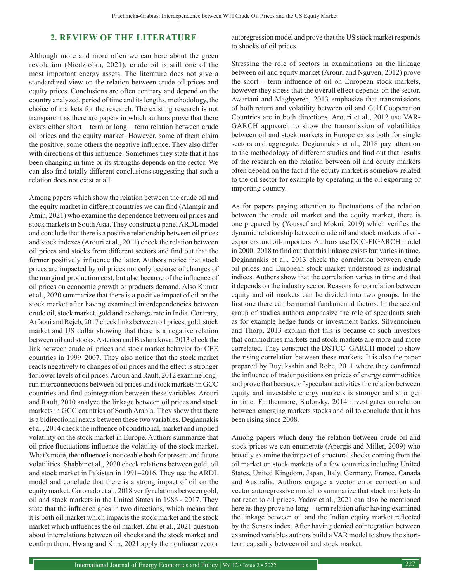## **2. REVIEW OF THE LITERATURE**

Although more and more often we can here about the green revolution (Niedziółka, 2021), crude oil is still one of the most important energy assets. The literature does not give a standardized view on the relation between crude oil prices and equity prices. Conclusions are often contrary and depend on the country analyzed, period of time and its lengths, methodology, the choice of markets for the research. The existing research is not transparent as there are papers in which authors prove that there exists either short – term or long – term relation between crude oil prices and the equity market. However, some of them claim the positive, some others the negative influence. They also differ with directions of this influence. Sometimes they state that it has been changing in time or its strengths depends on the sector. We can also find totally different conclusions suggesting that such a relation does not exist at all.

Among papers which show the relation between the crude oil and the equity market in different countries we can find (Alamgir and Amin, 2021) who examine the dependence between oil prices and stock markets in South Asia. They construct a panel ARDL model and conclude that there is a positive relationship between oil prices and stock indexes (Arouri et al., 2011) check the relation between oil prices and stocks from different sectors and find out that the former positively influence the latter. Authors notice that stock prices are impacted by oil prices not only because of changes of the marginal production cost, but also because of the influence of oil prices on economic growth or products demand. Also Kumar et al., 2020 summarize that there is a positive impact of oil on the stock market after having examined interdependencies between crude oil, stock market, gold and exchange rate in India. Contrary, Arfaoui and Rejeb, 2017 check links between oil prices, gold, stock market and US dollar showing that there is a negative relation between oil and stocks. Asteriou and Bashmakova, 2013 check the link between crude oil prices and stock market behavior for CEE countries in 1999–2007. They also notice that the stock market reacts negatively to changes of oil prices and the effect is stronger for lower levels of oil prices. Arouri and Rault, 2012 examine longrun interconnections between oil prices and stock markets in GCC countries and find cointegration between these variables. Arouri and Rault, 2010 analyze the linkage between oil prices and stock markets in GCC countries of South Arabia. They show that there is a bidirectional nexus between these two variables. Degiannakis et al., 2014 check the influence of conditional, market and implied volatility on the stock market in Europe. Authors summarize that oil price fluctuations influence the volatility of the stock market. What's more, the influence is noticeable both for present and future volatilities. Shabbir et al., 2020 check relations between gold, oil and stock market in Pakistan in 1991–2016. They use the ARDL model and conclude that there is a strong impact of oil on the equity market. Coronado et al., 2018 verify relations between gold, oil and stock markets in the United States in 1986 - 2017. They state that the influence goes in two directions, which means that it is both oil market which impacts the stock market and the stock market which influences the oil market. Zhu et al., 2021 question about interrelations between oil shocks and the stock market and confirm them. Hwang and Kim, 2021 apply the nonlinear vector

autoregression model and prove that the US stock market responds to shocks of oil prices.

Stressing the role of sectors in examinations on the linkage between oil and equity market (Arouri and Nguyen, 2012) prove the short – term influence of oil on European stock markets, however they stress that the overall effect depends on the sector. Awartani and Maghyereh, 2013 emphasize that transmissions of both return and volatility between oil and Gulf Cooperation Countries are in both directions. Arouri et al., 2012 use VAR-GARCH approach to show the transmission of volatilities between oil and stock markets in Europe exists both for single sectors and aggregate. Degiannakis et al., 2018 pay attention to the methodology of different studies and find out that results of the research on the relation between oil and equity markets often depend on the fact if the equity market is somehow related to the oil sector for example by operating in the oil exporting or importing country.

As for papers paying attention to fluctuations of the relation between the crude oil market and the equity market, there is one prepared by (Youssef and Mokni, 2019) which verifies the dynamic relationship between crude oil and stock markets of oilexporters and oil-importers. Authors use DCC-FIGARCH model in 2000–2018 to find out that this linkage exists but varies in time. Degiannakis et al., 2013 check the correlation between crude oil prices and European stock market understood as industrial indices. Authors show that the correlation varies in time and that it depends on the industry sector. Reasons for correlation between equity and oil markets can be divided into two groups. In the first one there can be named fundamental factors. In the second group of studies authors emphasize the role of speculants such as for example hedge funds or investment banks. Silvennoinen and Thorp, 2013 explain that this is because of such investors that commodities markets and stock markets are more and more correlated. They construct the DSTCC\_GARCH model to show the rising correlation between these markets. It is also the paper prepared by Buyuksahin and Robe, 2011 where they confirmed the influence of trader positions on prices of energy commodities and prove that because of speculant activities the relation between equity and investable energy markets is stronger and stronger in time. Furthermore, Sadorsky, 2014 investigates correlation between emerging markets stocks and oil to conclude that it has been rising since 2008.

Among papers which deny the relation between crude oil and stock prices we can enumerate (Apergis and Miller, 2009) who broadly examine the impact of structural shocks coming from the oil market on stock markets of a few countries including United States, United Kingdom, Japan, Italy, Germany, France, Canada and Australia. Authors engage a vector error correction and vector autoregressive model to summarize that stock markets do not react to oil prices. Yadav et al., 2021 can also be mentioned here as they prove no long – term relation after having examined the linkage between oil and the Indian equity market reflected by the Sensex index. After having denied cointegration between examined variables authors build a VAR model to show the shortterm causality between oil and stock market.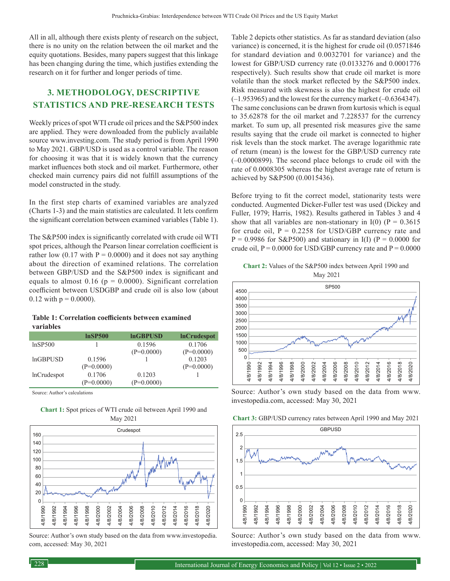All in all, although there exists plenty of research on the subject, there is no unity on the relation between the oil market and the equity quotations. Besides, many papers suggest that this linkage has been changing during the time, which justifies extending the research on it for further and longer periods of time.

# **3. METHODOLOGY, DESCRIPTIVE STATISTICS AND PRE-RESEARCH TESTS**

Weekly prices of spot WTI crude oil prices and the S&P500 index are applied. They were downloaded from the publicly available source www.investing.com. The study period is from April 1990 to May 2021. GBP/USD is used as a control variable. The reason for choosing it was that it is widely known that the currency market influences both stock and oil market. Furthermore, other checked main currency pairs did not fulfill assumptions of the model constructed in the study.

In the first step charts of examined variables are analyzed (Charts 1-3) and the main statistics are calculated. It lets confirm the significant correlation between examined variables (Table 1).

The S&P500 index is significantly correlated with crude oil WTI spot prices, although the Pearson linear correlation coefficient is rather low  $(0.17 \text{ with } P = 0.0000)$  and it does not say anything about the direction of examined relations. The correlation between GBP/USD and the S&P500 index is significant and equals to almost 0.16 ( $p = 0.0000$ ). Significant correlation coefficient between USDGBP and crude oil is also low (about 0.12 with  $p = 0.0000$ ).

| Table 1: Correlation coefficients between examined |  |  |
|----------------------------------------------------|--|--|
| variables                                          |  |  |

|                    | InSP500      | <b>InGBPUSD</b> | <b>InCrudespot</b> |
|--------------------|--------------|-----------------|--------------------|
| lnSP500            |              | 0.1596          | 0.1706             |
|                    |              | $(P=0.0000)$    | $(P=0.0000)$       |
| <b>lnGBPUSD</b>    | 0.1596       |                 | 0.1203             |
|                    | $(P=0.0000)$ |                 | $(P=0.0000)$       |
| <b>lnCrudespot</b> | 0.1706       | 0.1203          |                    |
|                    | $(P=0.0000)$ | $(P=0.0000)$    |                    |

**Chart 1:** Spot prices of WTI crude oil between April 1990 and

Source: Author's calculations



Source: Author's own study based on the data from www.investopedia. com, accessed: May 30, 2021

Table 2 depicts other statistics. As far as standard deviation (also variance) is concerned, it is the highest for crude oil (0.0571846 for standard deviation and 0.0032701 for variance) and the lowest for GBP/USD currency rate (0.0133276 and 0.0001776 respectively). Such results show that crude oil market is more volatile than the stock market reflected by the S&P500 index. Risk measured with skewness is also the highest for crude oil (–1.953965) and the lowest for the currency market (–0.6364347). The same conclusions can be drawn from kurtosis which is equal to 35.62878 for the oil market and 7.228537 for the currency market. To sum up, all presented risk measures give the same results saying that the crude oil market is connected to higher risk levels than the stock market. The average logarithmic rate of return (mean) is the lowest for the GBP/USD currency rate (–0.0000899). The second place belongs to crude oil with the rate of 0.0008305 whereas the highest average rate of return is achieved by S&P500 (0.0015436).

Before trying to fit the correct model, stationarity tests were conducted. Augmented Dicker-Fuller test was used (Dickey and Fuller, 1979; Harris, 1982). Results gathered in Tables 3 and 4 show that all variables are non-stationary in I(0) ( $P = 0.3615$ ) for crude oil,  $P = 0.2258$  for USD/GBP currency rate and  $P = 0.9986$  for S&P500) and stationary in I(I) ( $P = 0.0000$  for crude oil,  $P = 0.0000$  for USD/GBP currency rate and  $P = 0.0000$ 

**Chart 2:** Values of the S&P500 index between April 1990 and May 2021



Source: Author's own study based on the data from www. investopedia.com, accessed: May 30, 2021

| <b>Chart 3: GBP/USD currency rates between April 1990 and May 2021</b> |  |  |
|------------------------------------------------------------------------|--|--|
|------------------------------------------------------------------------|--|--|



Source: Author's own study based on the data from www. investopedia.com, accessed: May 30, 2021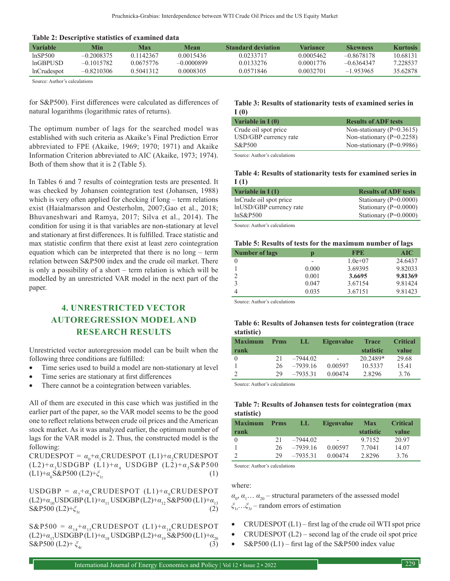**Table 2: Descriptive statistics of examined data**

| Variable           | Min          | <b>Max</b> | Mean         | <b>Standard deviation</b> | Variance  | <b>Skewness</b> | <b>Kurtosis</b> |
|--------------------|--------------|------------|--------------|---------------------------|-----------|-----------------|-----------------|
| lnSP500            | $-0.2008375$ | 0.1142367  | 0.0015436    | 0.0233717                 | 0.0005462 | $-0.8678178$    | 10.68131        |
| $ln$ GBPUSD        | $-0.1015782$ | 0.0675776  | $-0.0000899$ | 0.0133276                 | 0.0001776 | $-0.6364347$    | 7.228537        |
| <b>lnCrudespot</b> | $-0.8210306$ | 0.5041312  | 0.0008305    | 0.0571846                 | 0.0032701 | $-1.953965$     | 35.62878        |

Source: Author's calculations

for S&P500). First differences were calculated as differences of natural logarithms (logarithmic rates of returns).

The optimum number of lags for the searched model was established with such criteria as Akaike's Final Prediction Error abbreviated to FPE (Akaike, 1969; 1970; 1971) and Akaike Information Criterion abbreviated to AIC (Akaike, 1973; 1974). Both of them show that it is 2 (Table 5).

In Tables 6 and 7 results of cointegration tests are presented. It was checked by Johansen cointegration test (Johansen, 1988) which is very often applied for checking if long – term relations exist (Haialmarsson and Oesterholm, 2007;Gao et al., 2018; Bhuvaneshwari and Ramya, 2017; Silva et al., 2014). The condition for using it is that variables are non-stationary at level and stationary at first differences. It is fulfilled. Trace statistic and max statistic confirm that there exist at least zero cointegration equation which can be interpreted that there is no long – term relation between S&P500 index and the crude oil market. There is only a possibility of a short – term relation is which will be modelled by an unrestricted VAR model in the next part of the paper.

# **4. UNRESTRICTED VECTOR AUTOREGRESSION MODEL AND RESEARCH RESULTS**

Unrestricted vector autoregression model can be built when the following three conditions are fulfilled:

- Time series used to build a model are non-stationary at level
- Time series are stationary at first differences
- There cannot be a cointegration between variables.

All of them are executed in this case which was justified in the earlier part of the paper, so the VAR model seems to be the good one to reflect relations between crude oil prices and the American stock market. As it was analyzed earlier, the optimum number of lags for the VAR model is 2. Thus, the constructed model is the following:

 $CRUDESPOT = \alpha_0 + \alpha_1 CRUDESPOT (L1) + \alpha_2 CRUDESPOT$  $(L2)+\alpha_3USDGBP$   $(L1)+\alpha_4$  USDGBP  $(L2)+\alpha_5S\&P500$  $(L1)+\alpha_6 S\&P500 (L2)+\xi_1$ <sub>t</sub> (1)

USDGBP =  $\alpha_{7}+\alpha_{8}$ CRUDESPOT (L1)+ $\alpha_{8}$ CRUDESPOT (L2)+*α*<sub>10</sub>USDGBP (L1)+*α*<sub>11</sub> USDGBP (L2)+*α*<sub>12</sub> S&P500 (L1)+*α*<sub>13</sub> S&P500 (L2)+ξ<sub>12</sub> (2)  $S\&P500$  (L2)+ $\xi_{3t}$ 

 $S\&P500 = \alpha_{14} + \alpha_{15}$ CRUDESPOT (L1)+ $\alpha_{16}$ CRUDESPOT (L2)+*α*<sub>17</sub>USDGBP (L1)+*α*<sub>18</sub> USDGBP (L2)+*α*<sub>19</sub> S&P500 (L1)+*α*<sub>20</sub> S&P500 (L2)+ ξ<sub>1</sub> (3) S&P500 (L2)+ ξ<sub>4t</sub>

#### **Table 3: Results of stationarity tests of examined series in I (0)**

| Variable in $I(0)$    | <b>Results of ADF tests</b>   |
|-----------------------|-------------------------------|
| Crude oil spot price  | Non-stationary ( $P=0.3615$ ) |
| USD/GBP currency rate | Non-stationary $(P=0.2258)$   |
| S&P500                | Non-stationary ( $P=0.9986$ ) |
|                       |                               |

Source: Author's calculations

#### **Table 4: Results of stationarity tests for examined series in I (1)**

| <b>Results of ADF tests</b> |
|-----------------------------|
| Stationary ( $P=0.0000$ )   |
| Stationary ( $P=0.0000$ )   |
| Stationary ( $P=0.0000$ )   |
|                             |

Source: Author's calculations

#### **Table 5: Results of tests for the maximum number of lags**

| <b>Number of lags</b> | D     | <b>FPE</b> | <b>AIC</b> |
|-----------------------|-------|------------|------------|
|                       |       | $1.0e+07$  | 24.6437    |
|                       | 0.000 | 3.69395    | 9.82033    |
|                       | 0.001 | 3.6695     | 9.81369    |
| 3                     | 0.047 | 3.67154    | 9.81424    |
|                       | 0.035 | 3.67151    | 9.81423    |
|                       |       |            |            |

Source: Author's calculations

#### **Table 6: Results of Johansen tests for cointegration (trace statistic)**

| <b>Maximum</b><br>rank | <b>Prms</b> | LЫ         | <b>Eigenvalue</b>        | <b>Trace</b><br>statistic | <b>Critical</b><br>value |
|------------------------|-------------|------------|--------------------------|---------------------------|--------------------------|
| $\Omega$               | 21          | $-7944.02$ | $\overline{\phantom{0}}$ | 20.2489*                  | 29.68                    |
|                        | 26          | $-7939.16$ | 0.00597                  | 10.5337                   | 15.41                    |
|                        | 29          | $-7935.31$ | 0.00474                  | 2.8296                    | 3.76                     |

Source: Author's calculations

#### **Table 7: Results of Johansen tests for cointegration (max statistic)**

| <b>Maximum</b> | <b>Prms</b> | Ш          | <b>Eigenvalue</b>        | <b>Max</b>       | <b>Critical</b> |
|----------------|-------------|------------|--------------------------|------------------|-----------------|
| rank           |             |            |                          | <b>statistic</b> | value           |
| $\Omega$       | 21          | $-7944.02$ | $\overline{\phantom{0}}$ | 9.7152           | 20.97           |
|                | 26.         | $-7939.16$ | 0.00597                  | 7.7041           | 14.07           |
|                | 29          | $-7935.31$ | 0.00474                  | 2.8296           | 3.76            |

Source: Author's calculations

#### where:

 $\alpha$ <sub>0</sub>,  $\alpha$ <sub>1</sub>...  $\alpha$ <sub>20</sub> – structural parameters of the assessed model *ξ*1*t* …*ξ*<sup>3</sup>*<sup>t</sup>* – random errors of estimation

- $CRUDESPOT (L1) first lag of the crude oil WTI spot price$
- $CRUDESPOT (L2)$  second lag of the crude oil spot price
- $S\&P500$  (L1) first lag of the  $S\&P500$  index value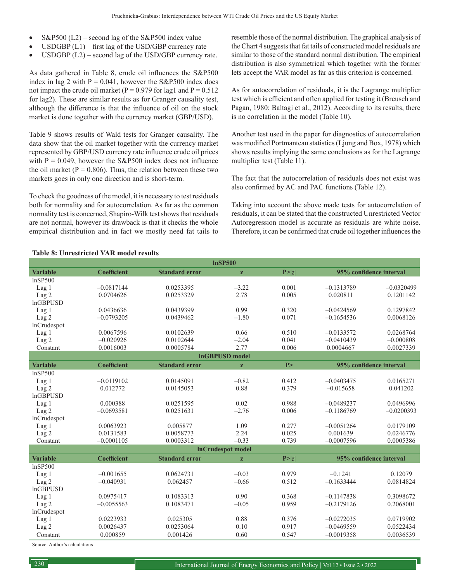- $S\&P500$  (L2) second lag of the S&P500 index value
- $\text{USDGBP (L1)} \text{first lag of the USD/GBP currency rate}$
- $\text{USDGBP (L2)} \text{second lag of the USD/GBP currency rate.}$

As data gathered in Table 8, crude oil influences the S&P500 index in lag 2 with  $P = 0.041$ , however the S&P500 index does not impact the crude oil market ( $P = 0.979$  for lag1 and  $P = 0.512$ for lag2). These are similar results as for Granger causality test, although the difference is that the influence of oil on the stock market is done together with the currency market (GBP/USD).

Table 9 shows results of Wald tests for Granger causality. The data show that the oil market together with the currency market represented by GBP/USD currency rate influence crude oil prices with  $P = 0.049$ , however the S&P500 index does not influence the oil market ( $P = 0.806$ ). Thus, the relation between these two markets goes in only one direction and is short-term.

To check the goodness of the model, it is necessary to test residuals both for normality and for autocorrelation. As far as the common normality test is concerned, Shapiro-Wilk test shows that residuals are not normal, however its drawback is that it checks the whole empirical distribution and in fact we mostly need fat tails to resemble those of the normal distribution. The graphical analysis of the Chart 4 suggests that fat tails of constructed model residuals are similar to those of the standard normal distribution. The empirical distribution is also symmetrical which together with the former lets accept the VAR model as far as this criterion is concerned.

As for autocorrelation of residuals, it is the Lagrange multiplier test which is efficient and often applied for testing it (Breusch and Pagan, 1980; Baltagi et al., 2012). According to its results, there is no correlation in the model (Table 10).

Another test used in the paper for diagnostics of autocorrelation was modified Portmanteau statistics (Ljung and Box, 1978) which shows results implying the same conclusions as for the Lagrange multiplier test (Table 11).

The fact that the autocorrelation of residuals does not exist was also confirmed by AC and PAC functions (Table 12).

Taking into account the above made tests for autocorrelation of residuals, it can be stated that the constructed Unrestricted Vector Autoregression model is accurate as residuals are white noise. Therefore, it can be confirmed that crude oil together influences the

| <b>InSP500</b>     |                    |                       |                          |        |                         |              |
|--------------------|--------------------|-----------------------|--------------------------|--------|-------------------------|--------------|
| <b>Variable</b>    | <b>Coefficient</b> | <b>Standard error</b> | z                        | P >  z | 95% confidence interval |              |
| lnSP500            |                    |                       |                          |        |                         |              |
| Lag 1              | $-0.0817144$       | 0.0253395             | $-3.22$                  | 0.001  | $-0.1313789$            | $-0.0320499$ |
| Lag <sub>2</sub>   | 0.0704626          | 0.0253329             | 2.78                     | 0.005  | 0.020811                | 0.1201142    |
| <b>InGBPUSD</b>    |                    |                       |                          |        |                         |              |
| Lag <sub>1</sub>   | 0.0436636          | 0.0439399             | 0.99                     | 0.320  | $-0.0424569$            | 0.1297842    |
| Lag <sub>2</sub>   | $-0.0793205$       | 0.0439462             | $-1.80$                  | 0.071  | $-0.1654536$            | 0.0068126    |
| lnCrudespot        |                    |                       |                          |        |                         |              |
| Lag <sub>1</sub>   | 0.0067596          | 0.0102639             | 0.66                     | 0.510  | $-0.0133572$            | 0.0268764    |
| Lag <sub>2</sub>   | $-0.020926$        | 0.0102644             | $-2.04$                  | 0.041  | $-0.0410439$            | $-0.000808$  |
| Constant           | 0.0016003          | 0.0005784             | 2.77                     | 0.006  | 0.0004667               | 0.0027339    |
|                    |                    |                       | <b>InGBPUSD</b> model    |        |                         |              |
| <b>Variable</b>    | <b>Coefficient</b> | <b>Standard error</b> | $\mathbf{z}$             | P>     | 95% confidence interval |              |
| lnSP500            |                    |                       |                          |        |                         |              |
| Lag <sub>1</sub>   | $-0.0119102$       | 0.0145091             | $-0.82$                  | 0.412  | $-0.0403475$            | 0.0165271    |
| Lag 2              | 0.012772           | 0.0145053             | 0.88                     | 0.379  | $-0.015658$             | 0.041202     |
| <b>InGBPUSD</b>    |                    |                       |                          |        |                         |              |
| Lag 1              | 0.000388           | 0.0251595             | 0.02                     | 0.988  | $-0.0489237$            | 0.0496996    |
| Lag <sub>2</sub>   | $-0.0693581$       | 0.0251631             | $-2.76$                  | 0.006  | $-0.1186769$            | $-0.0200393$ |
| <b>lnCrudespot</b> |                    |                       |                          |        |                         |              |
| Lag <sub>1</sub>   | 0.0063923          | 0.005877              | 1.09                     | 0.277  | $-0.0051264$            | 0.0179109    |
| Lag <sub>2</sub>   | 0.0131583          | 0.0058773             | 2.24                     | 0.025  | 0.001639                | 0.0246776    |
| Constant           | $-0.0001105$       | 0.0003312             | $-0.33$                  | 0.739  | $-0.0007596$            | 0.0005386    |
|                    |                    |                       | <b>InCrudespot model</b> |        |                         |              |
| <b>Variable</b>    | <b>Coefficient</b> | <b>Standard error</b> | z                        | P >  z | 95% confidence interval |              |
| lnSP500            |                    |                       |                          |        |                         |              |
| Lag 1              | $-0.001655$        | 0.0624731             | $-0.03$                  | 0.979  | $-0.1241$               | 0.12079      |
| Lag <sub>2</sub>   | $-0.040931$        | 0.062457              | $-0.66$                  | 0.512  | $-0.1633444$            | 0.0814824    |
| <b>InGBPUSD</b>    |                    |                       |                          |        |                         |              |
| Lag <sub>1</sub>   | 0.0975417          | 0.1083313             | 0.90                     | 0.368  | $-0.1147838$            | 0.3098672    |
| Lag <sub>2</sub>   | $-0.0055563$       | 0.1083471             | $-0.05$                  | 0.959  | $-0.2179126$            | 0.2068001    |
| lnCrudespot        |                    |                       |                          |        |                         |              |
| Lag <sub>1</sub>   | 0.0223933          | 0.025305              | 0.88                     | 0.376  | $-0.0272035$            | 0.0719902    |
| Lag 2              | 0.0026437          | 0.0253064             | 0.10                     | 0.917  | $-0.0469559$            | 0.0522434    |
| Constant           | 0.000859           | 0.001426              | 0.60                     | 0.547  | $-0.0019358$            | 0.0036539    |

#### **Table 8: Unrestricted VAR model results**

Source: Author's calculations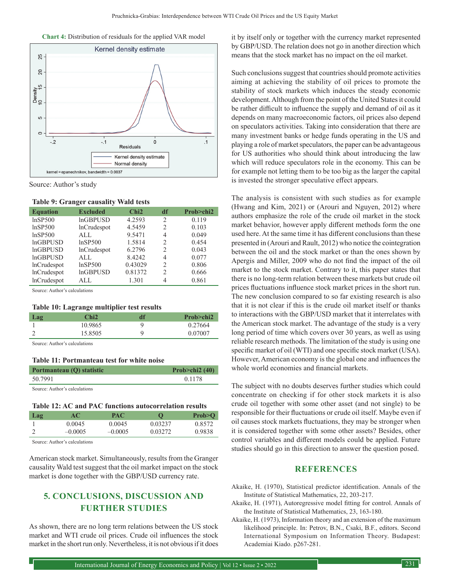



Source: Author's study

|  |  | <b>Table 9: Granger causality Wald tests</b> |  |  |
|--|--|----------------------------------------------|--|--|
|--|--|----------------------------------------------|--|--|

| <b>Equation</b>    | <b>Excluded</b>    | Chi2    | df                            | Prob>chi2 |
|--------------------|--------------------|---------|-------------------------------|-----------|
| lnSP500            | <b>InGBPUSD</b>    | 4.2593  | $\overline{2}$                | 0.119     |
| lnSP500            | <b>lnCrudespot</b> | 4.5459  | $\mathfrak{D}_{\mathfrak{p}}$ | 0.103     |
| lnSP500            | AI.                | 9.5471  | 4                             | 0.049     |
| <b>InGBPUSD</b>    | lnSP500            | 1.5814  | $\mathfrak{D}_{\mathfrak{p}}$ | 0.454     |
| <b>InGBPUSD</b>    | <b>lnCrudespot</b> | 6.2796  | 2                             | 0.043     |
| <b>InGBPUSD</b>    | AI.                | 8.4242  | 4                             | 0.077     |
| <b>lnCrudespot</b> | lnSP500            | 0.43029 | 2                             | 0.806     |
| <b>lnCrudespot</b> | <b>InGBPUSD</b>    | 0.81372 | $\mathfrak{D}$                | 0.666     |
| <b>lnCrudespot</b> | AI.                | 1.301   | 4                             | 0.861     |

Source: Author's calculations

#### **Table 10: Lagrange multiplier test results**

| Lag | Chi2    | đf | Prob > chi2 |
|-----|---------|----|-------------|
|     | 10.9865 | u  | 0.27664     |
|     | 15.8505 | Q  | 0.07007     |

Source: Author's calculations

#### **Table 11: Portmanteau test for white noise**

| Portmanteau (Q) statistic | Prob $\ge$ chi2 (40) |
|---------------------------|----------------------|
| 50.7991                   | 0.1178               |
| .                         |                      |

Source: Author's calculations

#### **Table 12: AC and PAC functions autocorrelation results**

| Lag | AС        | PAC       |         | Prob > O |
|-----|-----------|-----------|---------|----------|
|     | 0.0045    | 0.0045    | 0.03237 | 0.8572   |
|     | $-0.0005$ | $-0.0005$ | 0.03272 | 0.9838   |

Source: Author's calculations

American stock market. Simultaneously, results from the Granger causality Wald test suggest that the oil market impact on the stock market is done together with the GBP/USD currency rate.

# **5. CONCLUSIONS, DISCUSSION AND FURTHER STUDIES**

As shown, there are no long term relations between the US stock market and WTI crude oil prices. Crude oil influences the stock market in the short run only. Nevertheless, it is not obvious if it does it by itself only or together with the currency market represented by GBP/USD. The relation does not go in another direction which means that the stock market has no impact on the oil market.

Such conclusions suggest that countries should promote activities aiming at achieving the stability of oil prices to promote the stability of stock markets which induces the steady economic development. Although from the point of the United States it could be rather difficult to influence the supply and demand of oil as it depends on many macroeconomic factors, oil prices also depend on speculators activities. Taking into consideration that there are many investment banks or hedge funds operating in the US and playing a role of market speculators, the paper can be advantageous for US authorities who should think about introducing the law which will reduce speculators role in the economy. This can be for example not letting them to be too big as the larger the capital is invested the stronger speculative effect appears.

The analysis is consistent with such studies as for example (Hwang and Kim, 2021) or (Arouri and Nguyen, 2012) where authors emphasize the role of the crude oil market in the stock market behavior, however apply different methods form the one used here. At the same time it has different conclusions than these presented in (Arouri and Rault, 2012) who notice the cointegration between the oil and the stock market or than the ones shown by Apergis and Miller, 2009 who do not find the impact of the oil market to the stock market. Contrary to it, this paper states that there is no long-term relation between these markets but crude oil prices fluctuations influence stock market prices in the short run. The new conclusion compared to so far existing research is also that it is not clear if this is the crude oil market itself or thanks to interactions with the GBP/USD market that it interrelates with the American stock market. The advantage of the study is a very long period of time which covers over 30 years, as well as using reliable research methods. The limitation of the study is using one specific market of oil (WTI) and one specific stock market (USA). However, American economy is the global one and influences the whole world economies and financial markets.

The subject with no doubts deserves further studies which could concentrate on checking if for other stock markets it is also crude oil together with some other asset (and not single) to be responsible for their fluctuations or crude oil itself. Maybe even if oil causes stock markets fluctuations, they may be stronger when it is considered together with some other assets? Besides, other control variables and different models could be applied. Future studies should go in this direction to answer the question posed.

### **REFERENCES**

- Akaike, H. (1970), Statistical predictor identification. Annals of the Institute of Statistical Mathematics, 22, 203-217.
- Akaike, H. (1971), Autoregressive model fitting for control. Annals of the Institute of Statistical Mathematics, 23, 163-180.
- Akaike, H. (1973), Information theory and an extension of the maximum likelihood principle. In: Petrov, B.N., Csaki, B.F., editors. Second International Symposium on Information Theory. Budapest: Academiai Kiado. p267-281.